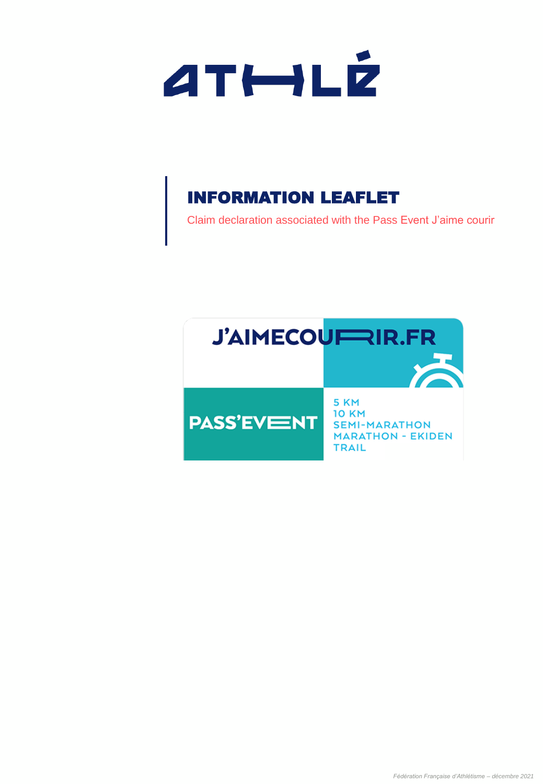

Claim declaration associated with the Pass Event J'aime courir

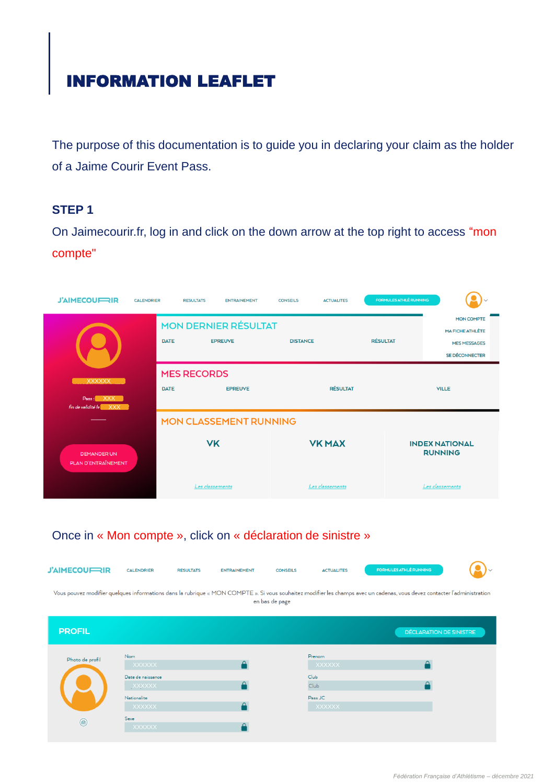The purpose of this documentation is to guide you in declaring your claim as the holder of a Jaime Courir Event Pass.

## **STEP 1**

On Jaimecourir.fr, log in and click on the down arrow at the top right to access "mon compte"



## Once in « Mon compte », click on « déclaration de sinistre »



| <b>PROFIL</b>   |                                    |                          | <b>DÉCLARATION DE SINISTRE</b> |
|-----------------|------------------------------------|--------------------------|--------------------------------|
| Photo de profil | Nom<br>XXXXXX                      | Prenom<br><b>XXXXXX</b>  |                                |
|                 | Date de naissance<br><b>XXXXXX</b> | Club<br>Club             |                                |
|                 | Nationalite<br>XXXXXX              | Pass JC<br><b>XXXXXX</b> |                                |
| $^{\circ}$      | Sexe<br>XXXXXX                     |                          |                                |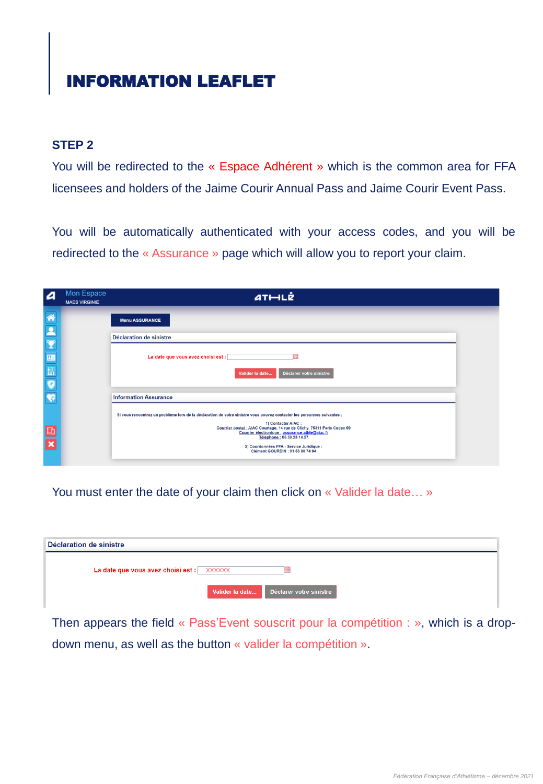## **STEP 2**

You will be redirected to the « Espace Adhérent » which is the common area for FFA licensees and holders of the Jaime Courir Annual Pass and Jaime Courir Event Pass.

You will be automatically authenticated with your access codes, and you will be redirected to the « Assurance » page which will allow you to report your claim.

| $\boldsymbol{a}$                                    | Mon Espace<br><b>MAES VIRGINIE</b> | ATHLE                                                                                                                                                                                                                                                         |  |
|-----------------------------------------------------|------------------------------------|---------------------------------------------------------------------------------------------------------------------------------------------------------------------------------------------------------------------------------------------------------------|--|
|                                                     |                                    | <b>Menu ASSURANCE</b>                                                                                                                                                                                                                                         |  |
|                                                     |                                    | Déclaration de sinistre                                                                                                                                                                                                                                       |  |
| <b>KICERS</b>                                       |                                    | La date que vous avez choisi est :                                                                                                                                                                                                                            |  |
|                                                     |                                    | Déclarer votre sinistre<br>Valider la date                                                                                                                                                                                                                    |  |
|                                                     |                                    | <b>Information Assurance</b>                                                                                                                                                                                                                                  |  |
|                                                     |                                    | Si vous rencontrez un problème lors de la déclaration de votre sinistre vous pouvez contacter les personnes suivantes :                                                                                                                                       |  |
| $\begin{array}{c} \boxed{11} \\ \hline \end{array}$ |                                    | 1) Contacter AIAC:<br>Courrier postal : AIAC Courtage, 14 rue de Clichy, 75311 Paris Cedex 09<br>Courrier électronique : assurance-athle@aiac.fr<br>Téléphone: 05.59.23.14.27<br>2) Coordonnées FFA - Service Juridique :<br>Clément GOURDIN : 01 53 80 74 94 |  |

You must enter the date of your claim then click on « Valider la date... »

| Déclaration de sinistre                   |                 |                         |  |
|-------------------------------------------|-----------------|-------------------------|--|
| La date que vous avez choisi est : XXXXXX |                 |                         |  |
|                                           | Valider la date | Déclarer votre sinistre |  |

Then appears the field « Pass'Event souscrit pour la compétition : », which is a dropdown menu, as well as the button « valider la compétition ».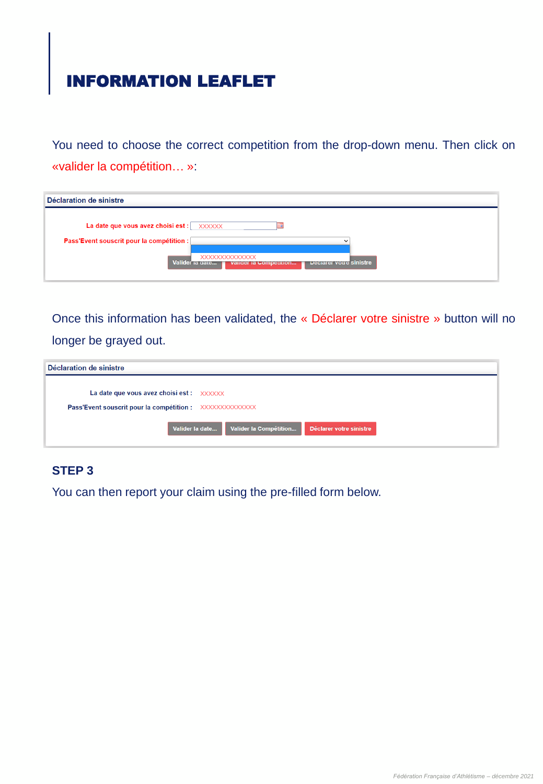You need to choose the correct competition from the drop-down menu. Then click on «valider la compétition… »:

| Déclaration de sinistre                   |                                                                                        |
|-------------------------------------------|----------------------------------------------------------------------------------------|
|                                           |                                                                                        |
| La date que vous avez choisi est : XXXXXX |                                                                                        |
| Pass'Event souscrit pour la compétition : |                                                                                        |
|                                           | XXXXXXXXXXXXXX<br>Valider la gate<br>Declarer votre sinistre<br>valider la Competition |
|                                           |                                                                                        |

Once this information has been validated, the « Déclarer votre sinistre » button will no longer be grayed out.

| Déclaration de sinistre                                                                                                                         |  |
|-------------------------------------------------------------------------------------------------------------------------------------------------|--|
| La date que vous avez choisi est : $\chi$ $\chi$ $\chi$ $\chi$ $\chi$ $\chi$<br><b>Pass'Event souscrit pour la compétition :</b> XXXXXXXXXXXXXX |  |
| Valider la Compétition<br>Déclarer votre sinistre<br>Valider la date                                                                            |  |

## **STEP 3**

You can then report your claim using the pre-filled form below.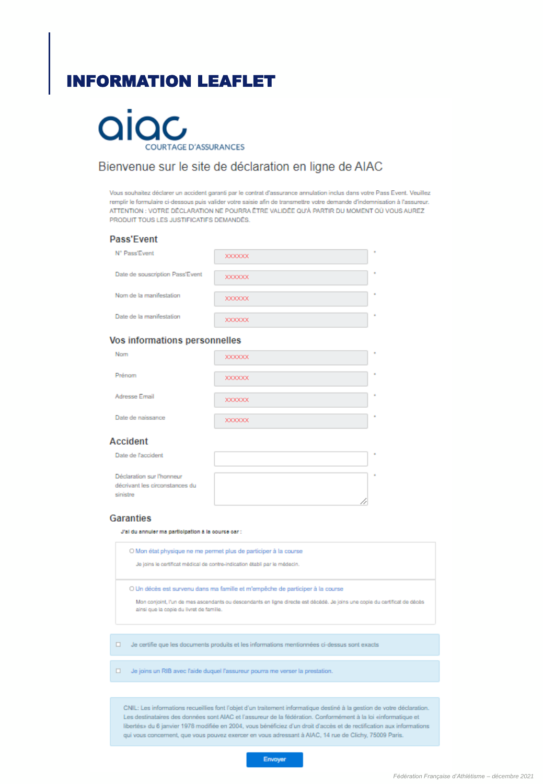

## Bienvenue sur le site de déclaration en ligne de AIAC

Vous souhaitez déclarer un accident garanti par le contrat d'assurance annulation inclus dans votre Pass Event. Veuillez remplir le formulaire ci-dessous puis valider votre saisie afin de transmettre votre demande d'indemnisation à l'assureur. ATTENTION : VOTRE DÉCLARATION NE POURRA ÊTRE VALIDÉE QU'À PARTIR DU MOMENT OÙ VOUS AUREZ PRODUIT TOUS LES JUSTIFICATIFS DEMANDÉS.

#### **Pass'Event**

| N° Pass'Event                   | <b>XXXXXX</b> |
|---------------------------------|---------------|
| Date de souscription Pass'Event | <b>XXXXXX</b> |
| Nom de la manifestation         | <b>XXXXXX</b> |
| Date de la manifestation        | <b>XXXXXX</b> |

#### Vos informations personnelles

| Nom               | <b>XXXXXX</b> |
|-------------------|---------------|
| Prénom            | <b>XXXXXX</b> |
| Adresse Email     | <b>XXXXXX</b> |
| Date de naissance | <b>XXXXXX</b> |
| ccident           |               |

#### A

| Date de l'accident                                                      | ٠ |
|-------------------------------------------------------------------------|---|
| Déclaration sur l'honneur<br>décrivant les circonstances du<br>sinistre |   |

#### **Garanties**

J'al du annuler ma participation à la cource car :

|   | O Mon état physique ne me permet plus de participer à la course<br>Je joins le certificat médical de contre-indication établi par le médecin.                                                                                                           |
|---|---------------------------------------------------------------------------------------------------------------------------------------------------------------------------------------------------------------------------------------------------------|
|   | O Un décès est survenu dans ma famille et m'empêche de participer à la course<br>Mon conjoint, l'un de mes ascendants ou descendants en ligne directe est décédé. Je joins une copie du certificat de décès<br>ainsi que la copie du livret de famille. |
| ٠ | Je certifie que les documents produits et les informations mentionnées ci-dessus sont exacts                                                                                                                                                            |
| ٠ | Je joins un RIB avec l'aide duquel l'assureur pourra me verser la prestation.                                                                                                                                                                           |

CNIL: Les informations recueillies font l'objet d'un traitement informatique destiné à la gestion de votre déclaration. Les destinataires des données sont AIAC et l'assureur de la fédération. Conformément à la loi «informatique et libertés» du 6 janvier 1978 modifiée en 2004, vous bénéficiez d'un droit d'accès et de rectification aux informations qui vous concernent, que vous pouvez exercer en vous adressant à AIAC, 14 rue de Clichy, 75009 Paris.

Envoyer